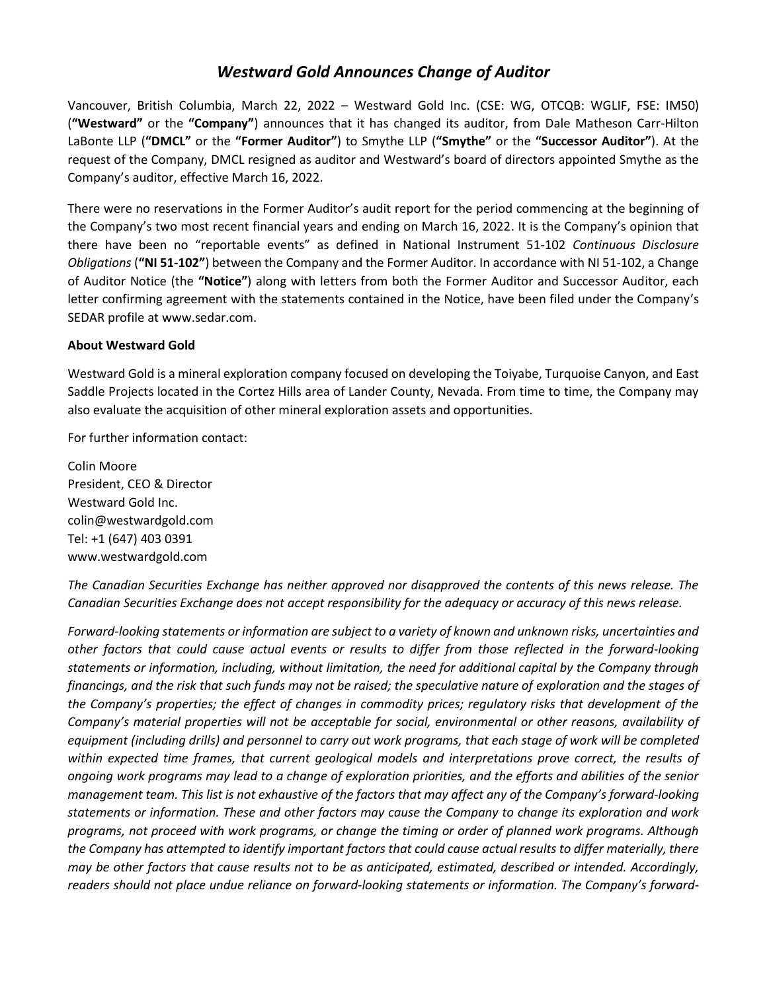## *Westward Gold Announces Change of Auditor*

Vancouver, British Columbia, March 22, 2022 – Westward Gold Inc. (CSE: WG, OTCQB: WGLIF, FSE: IM50) (**"Westward"** or the **"Company"**) announces that it has changed its auditor, from Dale Matheson Carr-Hilton LaBonte LLP (**"DMCL"** or the **"Former Auditor"**) to Smythe LLP (**"Smythe"** or the **"Successor Auditor"**). At the request of the Company, DMCL resigned as auditor and Westward's board of directors appointed Smythe as the Company's auditor, effective March 16, 2022.

There were no reservations in the Former Auditor's audit report for the period commencing at the beginning of the Company's two most recent financial years and ending on March 16, 2022. It is the Company's opinion that there have been no "reportable events" as defined in National Instrument 51-102 *Continuous Disclosure Obligations* (**"NI 51-102"**) between the Company and the Former Auditor. In accordance with NI 51-102, a Change of Auditor Notice (the **"Notice"**) along with letters from both the Former Auditor and Successor Auditor, each letter confirming agreement with the statements contained in the Notice, have been filed under the Company's SEDAR profile at www.sedar.com.

## **About Westward Gold**

Westward Gold is a mineral exploration company focused on developing the Toiyabe, Turquoise Canyon, and East Saddle Projects located in the Cortez Hills area of Lander County, Nevada. From time to time, the Company may also evaluate the acquisition of other mineral exploration assets and opportunities.

For further information contact:

Colin Moore President, CEO & Director Westward Gold Inc. colin@westwardgold.com Tel: +1 (647) 403 0391 www.westwardgold.com

*The Canadian Securities Exchange has neither approved nor disapproved the contents of this news release. The Canadian Securities Exchange does not accept responsibility for the adequacy or accuracy of this news release.*

*Forward-looking statements or information are subject to a variety of known and unknown risks, uncertainties and other factors that could cause actual events or results to differ from those reflected in the forward-looking statements or information, including, without limitation, the need for additional capital by the Company through financings, and the risk that such funds may not be raised; the speculative nature of exploration and the stages of the Company's properties; the effect of changes in commodity prices; regulatory risks that development of the Company's material properties will not be acceptable for social, environmental or other reasons, availability of* equipment (including drills) and personnel to carry out work programs, that each stage of work will be completed *within expected time frames, that current geological models and interpretations prove correct, the results of ongoing work programs may lead to a change of exploration priorities, and the efforts and abilities of the senior management team. This list is not exhaustive of the factors that may affect any of the Company's forward-looking statements or information. These and other factors may cause the Company to change its exploration and work programs, not proceed with work programs, or change the timing or order of planned work programs. Although the Company has attempted to identify important factors that could cause actual results to differ materially, there may be other factors that cause results not to be as anticipated, estimated, described or intended. Accordingly, readers should not place undue reliance on forward-looking statements or information. The Company's forward-*